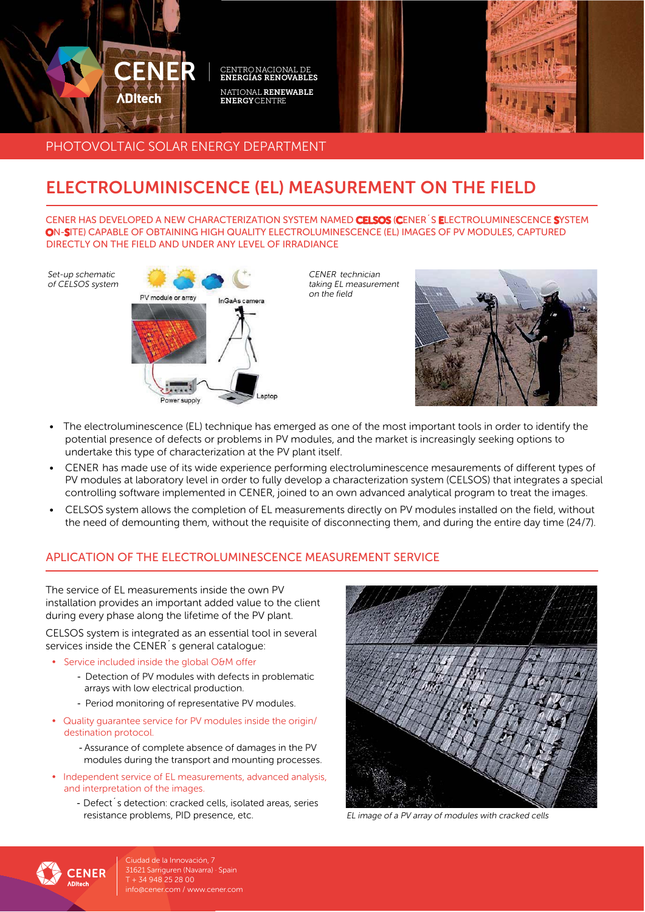

PHOTOVOLTAIC SOLAR ENERGY DEPARTMENT

# **ELECTROLUMINISCENCE (EL) MEASUREMENT ON THE FIELD**

CENER HAS DEVELOPED A NEW CHARACTERIZATION SYSTEM NAMED CELSOS (CENER S ELECTROLUMINESCENCE SYSTEM ON-SITE) CAPABLE OF OBTAINING HIGH QUALITY ELECTROLUMINESCENCE (EL) IMAGES OF PV MODULES, CAPTURED DIRECTLY ON THE FIELD AND UNDER ANY LEVEL OF IRRADIANCE

Set-up schematic of CELSOS system



CENER technician taking EL measurement on the field



- The electroluminescence (EL) technique has emerged as one of the most important tools in order to identify the  $\bullet$ potential presence of defects or problems in PV modules, and the market is increasingly seeking options to undertake this type of characterization at the PV plant itself.
- CENER has made use of its wide experience performing electroluminescence mesaurements of different types of  $\bullet$ PV modules at laboratory level in order to fully develop a characterization system (CELSOS) that integrates a special controlling software implemented in CENER, joined to an own advanced analytical program to treat the images.
- CELSOS system allows the completion of EL measurements directly on PV modules installed on the field, without the need of demounting them, without the requisite of disconnecting them, and during the entire day time (24/7).

## APLICATION OF THE FLECTROLUMINESCENCE MEASUREMENT SERVICE

The service of EL measurements inside the own PV installation provides an important added value to the client during every phase along the lifetime of the PV plant.

CELSOS system is integrated as an essential tool in several services inside the CENER<sup>'</sup>s general catalogue:

- Service included inside the alobal O&M offer
	- Detection of PV modules with defects in problematic arrays with low electrical production.
	- Period monitoring of representative PV modules.
- Quality quarantee service for PV modules inside the origin/ destination protocol.
	- Assurance of complete absence of damages in the PV modules during the transport and mounting processes.
- Independent service of EL measurements, advanced analysis, and interpretation of the images.
	- Defect s detection: cracked cells, isolated areas, series resistance problems, PID presence, etc.



EL image of a PV array of modules with cracked cells



Ciudad de la Innovación, 7 31621 Sarriguren (Navarra) · Spain T + 34 948 25 28 00 info@cener.com / www.cener.com